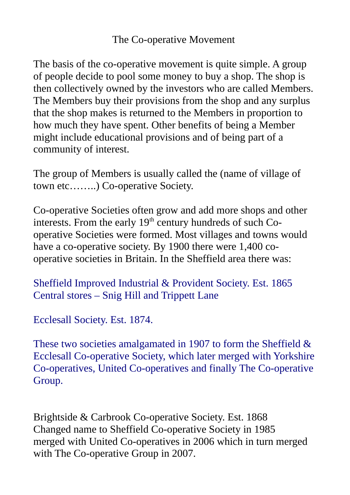## The Co-operative Movement

The basis of the co-operative movement is quite simple. A group of people decide to pool some money to buy a shop. The shop is then collectively owned by the investors who are called Members. The Members buy their provisions from the shop and any surplus that the shop makes is returned to the Members in proportion to how much they have spent. Other benefits of being a Member might include educational provisions and of being part of a community of interest.

The group of Members is usually called the (name of village of town etc……..) Co-operative Society.

Co-operative Societies often grow and add more shops and other interests. From the early  $19<sup>th</sup>$  century hundreds of such Cooperative Societies were formed. Most villages and towns would have a co-operative society. By 1900 there were 1,400 cooperative societies in Britain. In the Sheffield area there was:

Sheffield Improved Industrial & Provident Society. Est. 1865 Central stores – Snig Hill and Trippett Lane

Ecclesall Society. Est. 1874.

These two societies amalgamated in 1907 to form the Sheffield & Ecclesall Co-operative Society, which later merged with Yorkshire Co-operatives, United Co-operatives and finally The Co-operative Group.

Brightside & Carbrook Co-operative Society. Est. 1868 Changed name to Sheffield Co-operative Society in 1985 merged with United Co-operatives in 2006 which in turn merged with The Co-operative Group in 2007.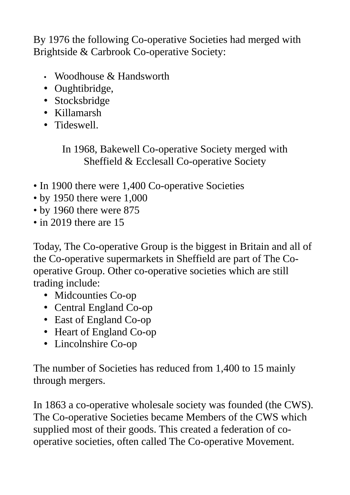By 1976 the following Co-operative Societies had merged with Brightside & Carbrook Co-operative Society:

- Woodhouse & Handsworth
- Oughtibridge,
- Stocksbridge
- Killamarsh
- Tideswell.

In 1968, Bakewell Co-operative Society merged with Sheffield & Ecclesall Co-operative Society

- In 1900 there were 1,400 Co-operative Societies
- by 1950 there were 1,000
- by 1960 there were 875
- in 2019 there are 15

Today, The Co-operative Group is the biggest in Britain and all of the Co-operative supermarkets in Sheffield are part of The Cooperative Group. Other co-operative societies which are still trading include:

- Midcounties Co-op
- Central England Co-op
- East of England Co-op
- Heart of England Co-op
- Lincolnshire Co-op

The number of Societies has reduced from 1,400 to 15 mainly through mergers.

In 1863 a co-operative wholesale society was founded (the CWS). The Co-operative Societies became Members of the CWS which supplied most of their goods. This created a federation of cooperative societies, often called The Co-operative Movement.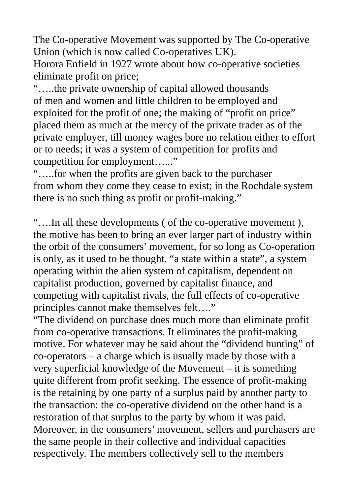The Co-operative Movement was supported by The Co-operative Union (which is now called Co-operatives UK).

Horora Enfield in 1927 wrote about how co-operative societies eliminate profit on price;

"…..the private ownership of capital allowed thousands of men and women and little children to be employed and exploited for the profit of one; the making of "profit on price" placed them as much at the mercy of the private trader as of the private employer, till money wages bore no relation either to effort or to needs; it was a system of competition for profits and competition for employment......"

"…..for when the profits are given back to the purchaser from whom they come they cease to exist; in the Rochdale system there is no such thing as profit or profit-making."

"….In all these developments ( of the co-operative movement ), the motive has been to bring an ever larger part of industry within the orbit of the consumers' movement, for so long as Co-operation is only, as it used to be thought, "a state within a state", a system operating within the alien system of capitalism, dependent on capitalist production, governed by capitalist finance, and competing with capitalist rivals, the full effects of co-operative principles cannot make themselves felt…."

"The dividend on purchase does much more than eliminate profit from co-operative transactions. It eliminates the profit-making motive. For whatever may be said about the "dividend hunting" of co-operators – a charge which is usually made by those with a very superficial knowledge of the Movement – it is something quite different from profit seeking. The essence of profit-making is the retaining by one party of a surplus paid by another party to the transaction: the co-operative dividend on the other hand is a restoration of that surplus to the party by whom it was paid. Moreover, in the consumers' movement, sellers and purchasers are the same people in their collective and individual capacities respectively. The members collectively sell to the members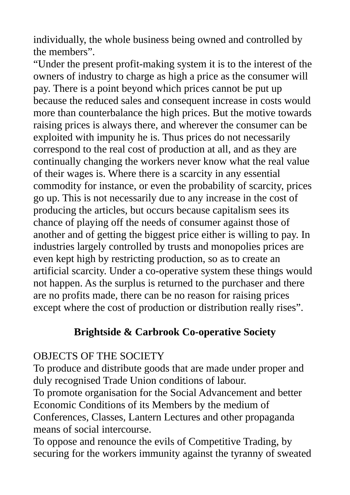individually, the whole business being owned and controlled by the members".

"Under the present profit-making system it is to the interest of the owners of industry to charge as high a price as the consumer will pay. There is a point beyond which prices cannot be put up because the reduced sales and consequent increase in costs would more than counterbalance the high prices. But the motive towards raising prices is always there, and wherever the consumer can be exploited with impunity he is. Thus prices do not necessarily correspond to the real cost of production at all, and as they are continually changing the workers never know what the real value of their wages is. Where there is a scarcity in any essential commodity for instance, or even the probability of scarcity, prices go up. This is not necessarily due to any increase in the cost of producing the articles, but occurs because capitalism sees its chance of playing off the needs of consumer against those of another and of getting the biggest price either is willing to pay. In industries largely controlled by trusts and monopolies prices are even kept high by restricting production, so as to create an artificial scarcity. Under a co-operative system these things would not happen. As the surplus is returned to the purchaser and there are no profits made, there can be no reason for raising prices except where the cost of production or distribution really rises".

## **Brightside & Carbrook Co-operative Society**

## OBJECTS OF THE SOCIETY

To produce and distribute goods that are made under proper and duly recognised Trade Union conditions of labour.

To promote organisation for the Social Advancement and better Economic Conditions of its Members by the medium of Conferences, Classes, Lantern Lectures and other propaganda means of social intercourse.

To oppose and renounce the evils of Competitive Trading, by securing for the workers immunity against the tyranny of sweated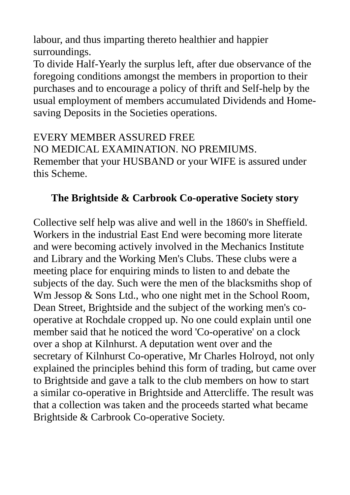labour, and thus imparting thereto healthier and happier surroundings.

To divide Half-Yearly the surplus left, after due observance of the foregoing conditions amongst the members in proportion to their purchases and to encourage a policy of thrift and Self-help by the usual employment of members accumulated Dividends and Homesaving Deposits in the Societies operations.

EVERY MEMBER ASSURED FREE

NO MEDICAL EXAMINATION. NO PREMIUMS. Remember that your HUSBAND or your WIFE is assured under this Scheme.

## **The Brightside & Carbrook Co-operative Society story**

Collective self help was alive and well in the 1860's in Sheffield. Workers in the industrial East End were becoming more literate and were becoming actively involved in the Mechanics Institute and Library and the Working Men's Clubs. These clubs were a meeting place for enquiring minds to listen to and debate the subjects of the day. Such were the men of the blacksmiths shop of Wm Jessop & Sons Ltd., who one night met in the School Room, Dean Street, Brightside and the subject of the working men's cooperative at Rochdale cropped up. No one could explain until one member said that he noticed the word 'Co-operative' on a clock over a shop at Kilnhurst. A deputation went over and the secretary of Kilnhurst Co-operative, Mr Charles Holroyd, not only explained the principles behind this form of trading, but came over to Brightside and gave a talk to the club members on how to start a similar co-operative in Brightside and Attercliffe. The result was that a collection was taken and the proceeds started what became Brightside & Carbrook Co-operative Society.